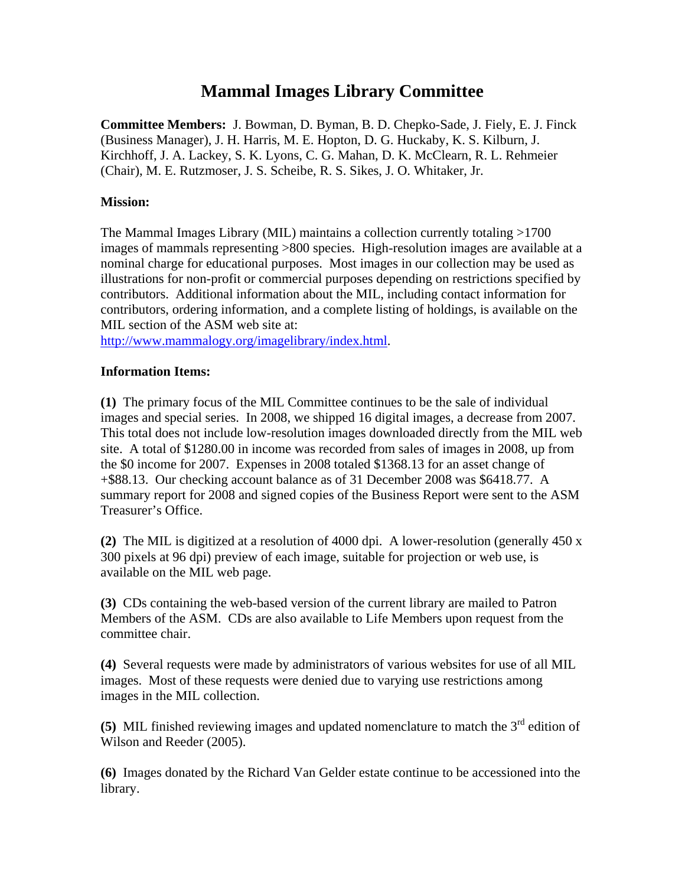## **Mammal Images Library Committee**

**Committee Members:** J. Bowman, D. Byman, B. D. Chepko-Sade, J. Fiely, E. J. Finck (Business Manager), J. H. Harris, M. E. Hopton, D. G. Huckaby, K. S. Kilburn, J. Kirchhoff, J. A. Lackey, S. K. Lyons, C. G. Mahan, D. K. McClearn, R. L. Rehmeier (Chair), M. E. Rutzmoser, J. S. Scheibe, R. S. Sikes, J. O. Whitaker, Jr.

## **Mission:**

The Mammal Images Library (MIL) maintains a collection currently totaling >1700 images of mammals representing >800 species. High-resolution images are available at a nominal charge for educational purposes. Most images in our collection may be used as illustrations for non-profit or commercial purposes depending on restrictions specified by contributors. Additional information about the MIL, including contact information for contributors, ordering information, and a complete listing of holdings, is available on the MIL section of the ASM web site at:

http://www.mammalogy.org/imagelibrary/index.html.

## **Information Items:**

**(1)** The primary focus of the MIL Committee continues to be the sale of individual images and special series. In 2008, we shipped 16 digital images, a decrease from 2007. This total does not include low-resolution images downloaded directly from the MIL web site. A total of \$1280.00 in income was recorded from sales of images in 2008, up from the \$0 income for 2007. Expenses in 2008 totaled \$1368.13 for an asset change of +\$88.13. Our checking account balance as of 31 December 2008 was \$6418.77. A summary report for 2008 and signed copies of the Business Report were sent to the ASM Treasurer's Office.

**(2)** The MIL is digitized at a resolution of 4000 dpi. A lower-resolution (generally 450 x 300 pixels at 96 dpi) preview of each image, suitable for projection or web use, is available on the MIL web page.

**(3)** CDs containing the web-based version of the current library are mailed to Patron Members of the ASM. CDs are also available to Life Members upon request from the committee chair.

**(4)** Several requests were made by administrators of various websites for use of all MIL images. Most of these requests were denied due to varying use restrictions among images in the MIL collection.

**(5)** MIL finished reviewing images and updated nomenclature to match the 3<sup>rd</sup> edition of Wilson and Reeder (2005).

**(6)** Images donated by the Richard Van Gelder estate continue to be accessioned into the library.